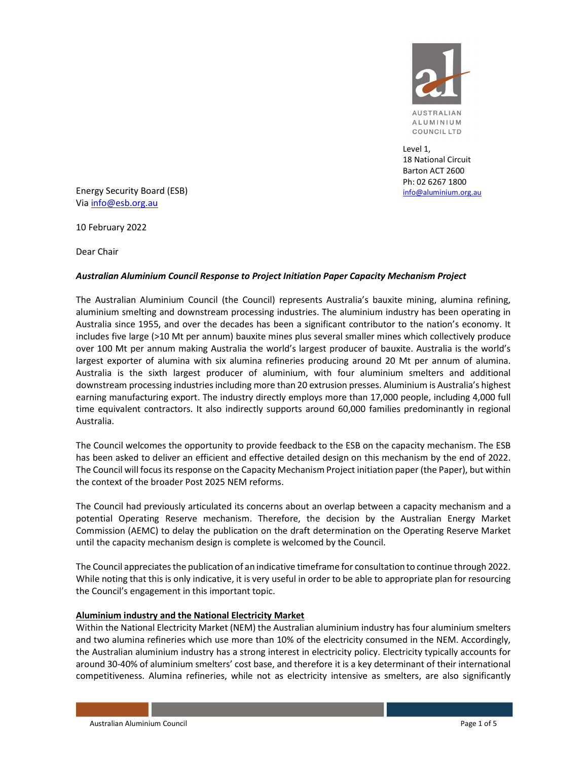

Level 1, 18 National Circuit Barton ACT 2600 Ph: 02 6267 1800 info@aluminium.org.au

Energy Security Board (ESB) Via info@esb.org.au

10 February 2022

Dear Chair

#### Australian Aluminium Council Response to Project Initiation Paper Capacity Mechanism Project

The Australian Aluminium Council (the Council) represents Australia's bauxite mining, alumina refining, aluminium smelting and downstream processing industries. The aluminium industry has been operating in Australia since 1955, and over the decades has been a significant contributor to the nation's economy. It includes five large (>10 Mt per annum) bauxite mines plus several smaller mines which collectively produce over 100 Mt per annum making Australia the world's largest producer of bauxite. Australia is the world's largest exporter of alumina with six alumina refineries producing around 20 Mt per annum of alumina. Australia is the sixth largest producer of aluminium, with four aluminium smelters and additional downstream processing industries including more than 20 extrusion presses. Aluminium is Australia's highest earning manufacturing export. The industry directly employs more than 17,000 people, including 4,000 full time equivalent contractors. It also indirectly supports around 60,000 families predominantly in regional Australia.

The Council welcomes the opportunity to provide feedback to the ESB on the capacity mechanism. The ESB has been asked to deliver an efficient and effective detailed design on this mechanism by the end of 2022. The Council will focus its response on the Capacity Mechanism Project initiation paper (the Paper), but within the context of the broader Post 2025 NEM reforms.

The Council had previously articulated its concerns about an overlap between a capacity mechanism and a potential Operating Reserve mechanism. Therefore, the decision by the Australian Energy Market Commission (AEMC) to delay the publication on the draft determination on the Operating Reserve Market until the capacity mechanism design is complete is welcomed by the Council.

The Council appreciates the publication of an indicative timeframe for consultation to continue through 2022. While noting that this is only indicative, it is very useful in order to be able to appropriate plan for resourcing the Council's engagement in this important topic.

## Aluminium industry and the National Electricity Market

Within the National Electricity Market (NEM) the Australian aluminium industry has four aluminium smelters and two alumina refineries which use more than 10% of the electricity consumed in the NEM. Accordingly, the Australian aluminium industry has a strong interest in electricity policy. Electricity typically accounts for around 30-40% of aluminium smelters' cost base, and therefore it is a key determinant of their international competitiveness. Alumina refineries, while not as electricity intensive as smelters, are also significantly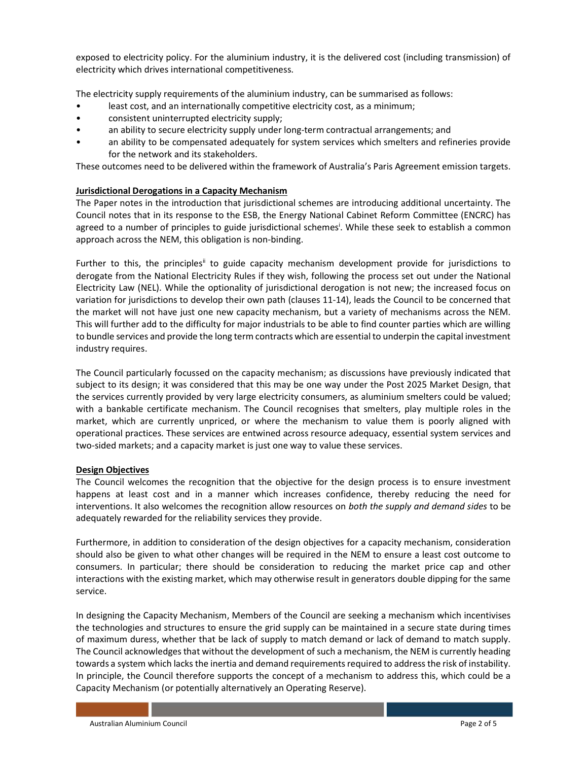exposed to electricity policy. For the aluminium industry, it is the delivered cost (including transmission) of electricity which drives international competitiveness.

The electricity supply requirements of the aluminium industry, can be summarised as follows:

- least cost, and an internationally competitive electricity cost, as a minimum;
- consistent uninterrupted electricity supply;
- an ability to secure electricity supply under long-term contractual arrangements; and
- an ability to be compensated adequately for system services which smelters and refineries provide for the network and its stakeholders.

These outcomes need to be delivered within the framework of Australia's Paris Agreement emission targets.

## Jurisdictional Derogations in a Capacity Mechanism

The Paper notes in the introduction that jurisdictional schemes are introducing additional uncertainty. The Council notes that in its response to the ESB, the Energy National Cabinet Reform Committee (ENCRC) has agreed to a number of principles to guide jurisdictional schemes<sup>i</sup>. While these seek to establish a common approach across the NEM, this obligation is non-binding.

Further to this, the principles<sup>ii</sup> to guide capacity mechanism development provide for jurisdictions to derogate from the National Electricity Rules if they wish, following the process set out under the National Electricity Law (NEL). While the optionality of jurisdictional derogation is not new; the increased focus on variation for jurisdictions to develop their own path (clauses 11-14), leads the Council to be concerned that the market will not have just one new capacity mechanism, but a variety of mechanisms across the NEM. This will further add to the difficulty for major industrials to be able to find counter parties which are willing to bundle services and provide the long term contracts which are essential to underpin the capital investment industry requires.

The Council particularly focussed on the capacity mechanism; as discussions have previously indicated that subject to its design; it was considered that this may be one way under the Post 2025 Market Design, that the services currently provided by very large electricity consumers, as aluminium smelters could be valued; with a bankable certificate mechanism. The Council recognises that smelters, play multiple roles in the market, which are currently unpriced, or where the mechanism to value them is poorly aligned with operational practices. These services are entwined across resource adequacy, essential system services and two-sided markets; and a capacity market is just one way to value these services.

## Design Objectives

The Council welcomes the recognition that the objective for the design process is to ensure investment happens at least cost and in a manner which increases confidence, thereby reducing the need for interventions. It also welcomes the recognition allow resources on both the supply and demand sides to be adequately rewarded for the reliability services they provide.

Furthermore, in addition to consideration of the design objectives for a capacity mechanism, consideration should also be given to what other changes will be required in the NEM to ensure a least cost outcome to consumers. In particular; there should be consideration to reducing the market price cap and other interactions with the existing market, which may otherwise result in generators double dipping for the same service.

In designing the Capacity Mechanism, Members of the Council are seeking a mechanism which incentivises the technologies and structures to ensure the grid supply can be maintained in a secure state during times of maximum duress, whether that be lack of supply to match demand or lack of demand to match supply. The Council acknowledges that without the development of such a mechanism, the NEM is currently heading towards a system which lacks the inertia and demand requirements required to address the risk of instability. In principle, the Council therefore supports the concept of a mechanism to address this, which could be a Capacity Mechanism (or potentially alternatively an Operating Reserve).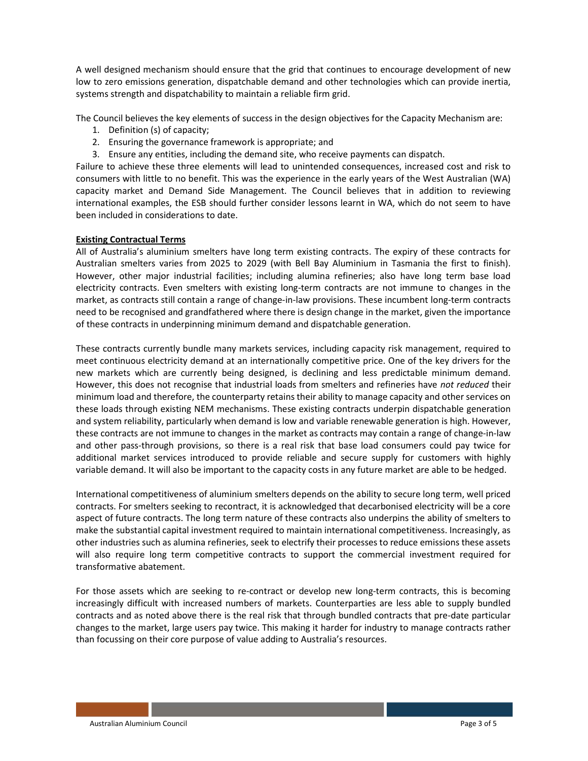A well designed mechanism should ensure that the grid that continues to encourage development of new low to zero emissions generation, dispatchable demand and other technologies which can provide inertia, systems strength and dispatchability to maintain a reliable firm grid.

The Council believes the key elements of success in the design objectives for the Capacity Mechanism are:

- 1. Definition (s) of capacity;
- 2. Ensuring the governance framework is appropriate; and
- 3. Ensure any entities, including the demand site, who receive payments can dispatch.

Failure to achieve these three elements will lead to unintended consequences, increased cost and risk to consumers with little to no benefit. This was the experience in the early years of the West Australian (WA) capacity market and Demand Side Management. The Council believes that in addition to reviewing international examples, the ESB should further consider lessons learnt in WA, which do not seem to have been included in considerations to date.

#### Existing Contractual Terms

All of Australia's aluminium smelters have long term existing contracts. The expiry of these contracts for Australian smelters varies from 2025 to 2029 (with Bell Bay Aluminium in Tasmania the first to finish). However, other major industrial facilities; including alumina refineries; also have long term base load electricity contracts. Even smelters with existing long-term contracts are not immune to changes in the market, as contracts still contain a range of change-in-law provisions. These incumbent long-term contracts need to be recognised and grandfathered where there is design change in the market, given the importance of these contracts in underpinning minimum demand and dispatchable generation.

These contracts currently bundle many markets services, including capacity risk management, required to meet continuous electricity demand at an internationally competitive price. One of the key drivers for the new markets which are currently being designed, is declining and less predictable minimum demand. However, this does not recognise that industrial loads from smelters and refineries have not reduced their minimum load and therefore, the counterparty retains their ability to manage capacity and other services on these loads through existing NEM mechanisms. These existing contracts underpin dispatchable generation and system reliability, particularly when demand is low and variable renewable generation is high. However, these contracts are not immune to changes in the market as contracts may contain a range of change-in-law and other pass-through provisions, so there is a real risk that base load consumers could pay twice for additional market services introduced to provide reliable and secure supply for customers with highly variable demand. It will also be important to the capacity costs in any future market are able to be hedged.

International competitiveness of aluminium smelters depends on the ability to secure long term, well priced contracts. For smelters seeking to recontract, it is acknowledged that decarbonised electricity will be a core aspect of future contracts. The long term nature of these contracts also underpins the ability of smelters to make the substantial capital investment required to maintain international competitiveness. Increasingly, as other industries such as alumina refineries, seek to electrify their processes to reduce emissions these assets will also require long term competitive contracts to support the commercial investment required for transformative abatement.

For those assets which are seeking to re-contract or develop new long-term contracts, this is becoming increasingly difficult with increased numbers of markets. Counterparties are less able to supply bundled contracts and as noted above there is the real risk that through bundled contracts that pre-date particular changes to the market, large users pay twice. This making it harder for industry to manage contracts rather than focussing on their core purpose of value adding to Australia's resources.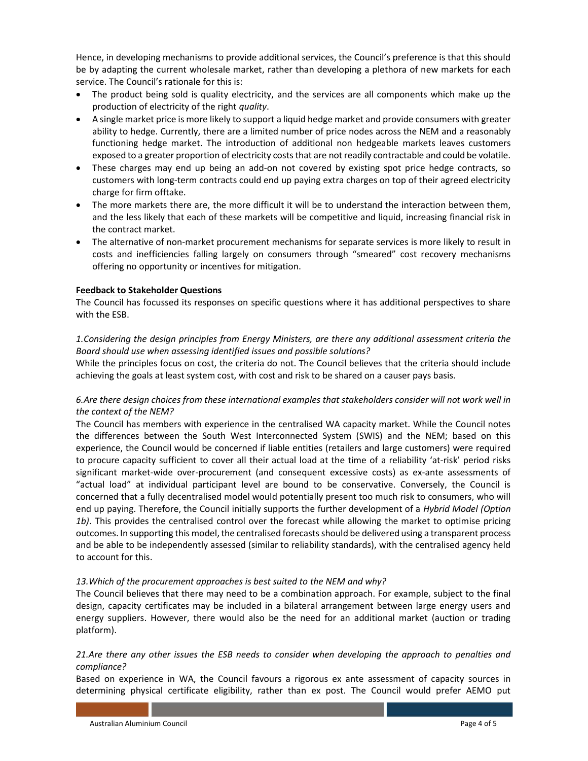Hence, in developing mechanisms to provide additional services, the Council's preference is that this should be by adapting the current wholesale market, rather than developing a plethora of new markets for each service. The Council's rationale for this is:

- The product being sold is quality electricity, and the services are all components which make up the production of electricity of the right quality.
- A single market price is more likely to support a liquid hedge market and provide consumers with greater ability to hedge. Currently, there are a limited number of price nodes across the NEM and a reasonably functioning hedge market. The introduction of additional non hedgeable markets leaves customers exposed to a greater proportion of electricity costs that are not readily contractable and could be volatile.
- These charges may end up being an add-on not covered by existing spot price hedge contracts, so customers with long-term contracts could end up paying extra charges on top of their agreed electricity charge for firm offtake.
- The more markets there are, the more difficult it will be to understand the interaction between them, and the less likely that each of these markets will be competitive and liquid, increasing financial risk in the contract market.
- The alternative of non-market procurement mechanisms for separate services is more likely to result in costs and inefficiencies falling largely on consumers through "smeared" cost recovery mechanisms offering no opportunity or incentives for mitigation.

## Feedback to Stakeholder Questions

The Council has focussed its responses on specific questions where it has additional perspectives to share with the ESB.

## 1.Considering the design principles from Energy Ministers, are there any additional assessment criteria the Board should use when assessing identified issues and possible solutions?

While the principles focus on cost, the criteria do not. The Council believes that the criteria should include achieving the goals at least system cost, with cost and risk to be shared on a causer pays basis.

# 6.Are there design choices from these international examples that stakeholders consider will not work well in the context of the NEM?

The Council has members with experience in the centralised WA capacity market. While the Council notes the differences between the South West Interconnected System (SWIS) and the NEM; based on this experience, the Council would be concerned if liable entities (retailers and large customers) were required to procure capacity sufficient to cover all their actual load at the time of a reliability 'at-risk' period risks significant market-wide over-procurement (and consequent excessive costs) as ex-ante assessments of "actual load" at individual participant level are bound to be conservative. Conversely, the Council is concerned that a fully decentralised model would potentially present too much risk to consumers, who will end up paying. Therefore, the Council initially supports the further development of a Hybrid Model (Option 1b). This provides the centralised control over the forecast while allowing the market to optimise pricing outcomes. In supporting this model, the centralised forecasts should be delivered using a transparent process and be able to be independently assessed (similar to reliability standards), with the centralised agency held to account for this.

#### 13.Which of the procurement approaches is best suited to the NEM and why?

The Council believes that there may need to be a combination approach. For example, subject to the final design, capacity certificates may be included in a bilateral arrangement between large energy users and energy suppliers. However, there would also be the need for an additional market (auction or trading platform).

## 21.Are there any other issues the ESB needs to consider when developing the approach to penalties and compliance?

Based on experience in WA, the Council favours a rigorous ex ante assessment of capacity sources in determining physical certificate eligibility, rather than ex post. The Council would prefer AEMO put